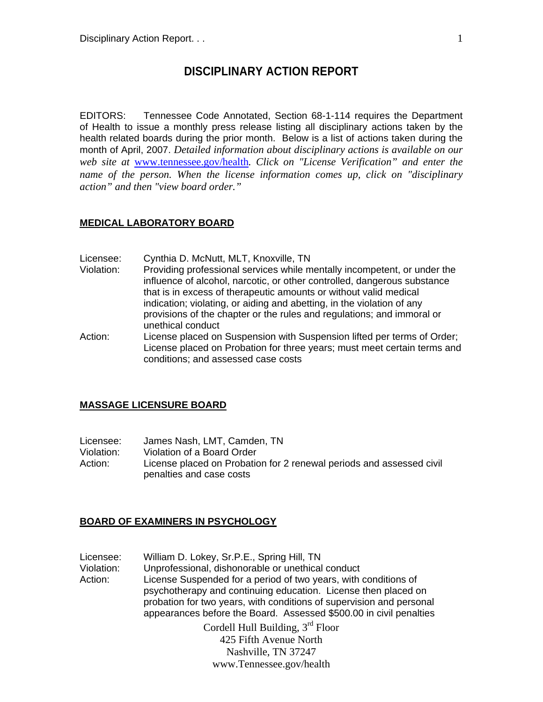# **DISCIPLINARY ACTION REPORT**

EDITORS: Tennessee Code Annotated, Section 68-1-114 requires the Department of Health to issue a monthly press release listing all disciplinary actions taken by the health related boards during the prior month. Below is a list of actions taken during the month of April, 2007. *Detailed information about disciplinary actions is available on our web site at* www.tennessee.gov/health*. Click on "License Verification" and enter the name of the person. When the license information comes up, click on "disciplinary action" and then "view board order."* 

### **MEDICAL LABORATORY BOARD**

- Licensee: Cynthia D. McNutt, MLT, Knoxville, TN
- Violation: Providing professional services while mentally incompetent, or under the influence of alcohol, narcotic, or other controlled, dangerous substance that is in excess of therapeutic amounts or without valid medical indication; violating, or aiding and abetting, in the violation of any provisions of the chapter or the rules and regulations; and immoral or unethical conduct
- Action: License placed on Suspension with Suspension lifted per terms of Order; License placed on Probation for three years; must meet certain terms and conditions; and assessed case costs

#### **MASSAGE LICENSURE BOARD**

| Licensee:  | James Nash, LMT, Camden, TN                                                                      |
|------------|--------------------------------------------------------------------------------------------------|
| Violation: | Violation of a Board Order                                                                       |
| Action: .  | License placed on Probation for 2 renewal periods and assessed civil<br>penalties and case costs |

### **BOARD OF EXAMINERS IN PSYCHOLOGY**

Licensee: William D. Lokey, Sr.P.E., Spring Hill, TN Violation: Unprofessional, dishonorable or unethical conduct Action: License Suspended for a period of two years, with conditions of psychotherapy and continuing education. License then placed on probation for two years, with conditions of supervision and personal appearances before the Board. Assessed \$500.00 in civil penalties

Cordell Hull Building, 3rd Floor 425 Fifth Avenue North Nashville, TN 37247 www.Tennessee.gov/health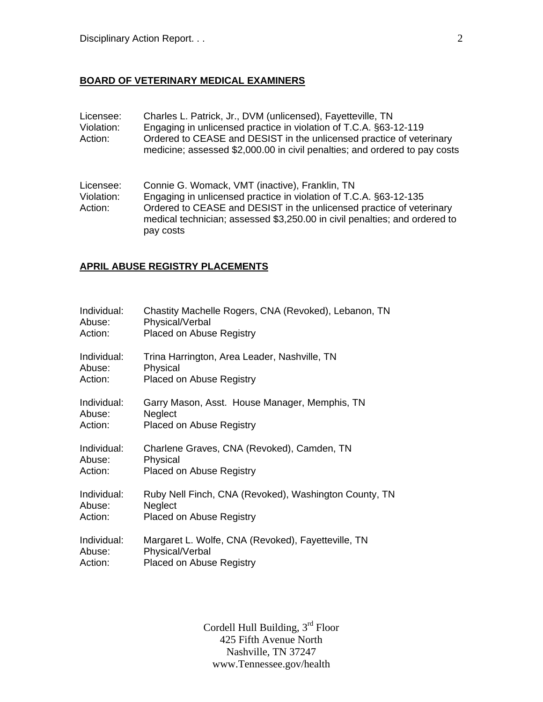# **BOARD OF VETERINARY MEDICAL EXAMINERS**

| Licensee:<br>Violation:<br>Action: | Charles L. Patrick, Jr., DVM (unlicensed), Fayetteville, TN<br>Engaging in unlicensed practice in violation of T.C.A. §63-12-119<br>Ordered to CEASE and DESIST in the unlicensed practice of veterinary<br>medicine; assessed \$2,000.00 in civil penalties; and ordered to pay costs |
|------------------------------------|----------------------------------------------------------------------------------------------------------------------------------------------------------------------------------------------------------------------------------------------------------------------------------------|
| Licensee:<br>Violation:<br>Action: | Connie G. Womack, VMT (inactive), Franklin, TN<br>Engaging in unlicensed practice in violation of T.C.A. §63-12-135<br>Ordered to CEASE and DESIST in the unlicensed practice of veterinary<br>medical technician; assessed \$3,250.00 in civil penalties; and ordered to<br>pay costs |

# **APRIL ABUSE REGISTRY PLACEMENTS**

| Individual: | Chastity Machelle Rogers, CNA (Revoked), Lebanon, TN  |
|-------------|-------------------------------------------------------|
| Abuse:      | Physical/Verbal                                       |
| Action:     | <b>Placed on Abuse Registry</b>                       |
| Individual: | Trina Harrington, Area Leader, Nashville, TN          |
| Abuse:      | Physical                                              |
| Action:     | <b>Placed on Abuse Registry</b>                       |
| Individual: | Garry Mason, Asst. House Manager, Memphis, TN         |
| Abuse:      | Neglect                                               |
| Action:     | <b>Placed on Abuse Registry</b>                       |
| Individual: | Charlene Graves, CNA (Revoked), Camden, TN            |
| Abuse:      | Physical                                              |
| Action:     | <b>Placed on Abuse Registry</b>                       |
| Individual: | Ruby Nell Finch, CNA (Revoked), Washington County, TN |
| Abuse:      | Neglect                                               |
| Action:     | <b>Placed on Abuse Registry</b>                       |
| Individual: | Margaret L. Wolfe, CNA (Revoked), Fayetteville, TN    |
| Abuse:      | Physical/Verbal                                       |
| Action:     | <b>Placed on Abuse Registry</b>                       |

Cordell Hull Building, 3rd Floor 425 Fifth Avenue North Nashville, TN 37247 www.Tennessee.gov/health